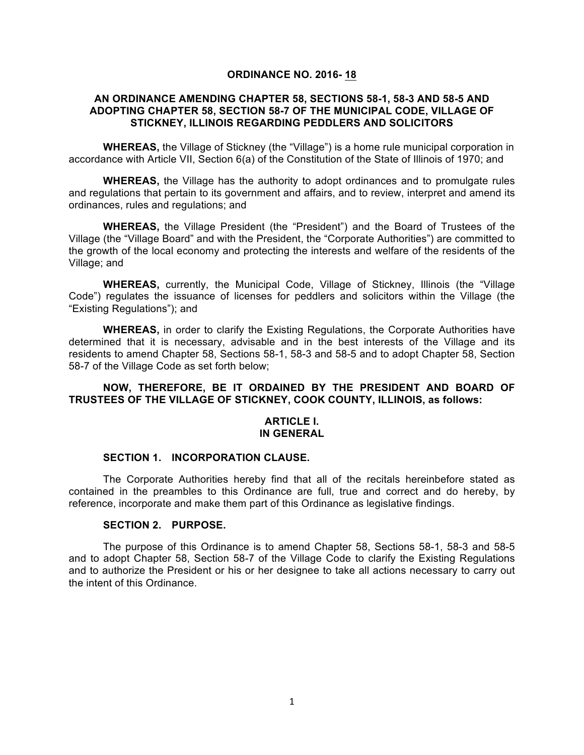## **ORDINANCE NO. 2016- 18**

## **AN ORDINANCE AMENDING CHAPTER 58, SECTIONS 58-1, 58-3 AND 58-5 AND ADOPTING CHAPTER 58, SECTION 58-7 OF THE MUNICIPAL CODE, VILLAGE OF STICKNEY, ILLINOIS REGARDING PEDDLERS AND SOLICITORS**

**WHEREAS,** the Village of Stickney (the "Village") is a home rule municipal corporation in accordance with Article VII, Section 6(a) of the Constitution of the State of Illinois of 1970; and

**WHEREAS,** the Village has the authority to adopt ordinances and to promulgate rules and regulations that pertain to its government and affairs, and to review, interpret and amend its ordinances, rules and regulations; and

**WHEREAS,** the Village President (the "President") and the Board of Trustees of the Village (the "Village Board" and with the President, the "Corporate Authorities") are committed to the growth of the local economy and protecting the interests and welfare of the residents of the Village; and

**WHEREAS,** currently, the Municipal Code, Village of Stickney, Illinois (the "Village Code") regulates the issuance of licenses for peddlers and solicitors within the Village (the "Existing Regulations"); and

**WHEREAS,** in order to clarify the Existing Regulations, the Corporate Authorities have determined that it is necessary, advisable and in the best interests of the Village and its residents to amend Chapter 58, Sections 58-1, 58-3 and 58-5 and to adopt Chapter 58, Section 58-7 of the Village Code as set forth below;

## **NOW, THEREFORE, BE IT ORDAINED BY THE PRESIDENT AND BOARD OF TRUSTEES OF THE VILLAGE OF STICKNEY, COOK COUNTY, ILLINOIS, as follows:**

#### **ARTICLE I. IN GENERAL**

### **SECTION 1. INCORPORATION CLAUSE.**

The Corporate Authorities hereby find that all of the recitals hereinbefore stated as contained in the preambles to this Ordinance are full, true and correct and do hereby, by reference, incorporate and make them part of this Ordinance as legislative findings.

# **SECTION 2. PURPOSE.**

The purpose of this Ordinance is to amend Chapter 58, Sections 58-1, 58-3 and 58-5 and to adopt Chapter 58, Section 58-7 of the Village Code to clarify the Existing Regulations and to authorize the President or his or her designee to take all actions necessary to carry out the intent of this Ordinance.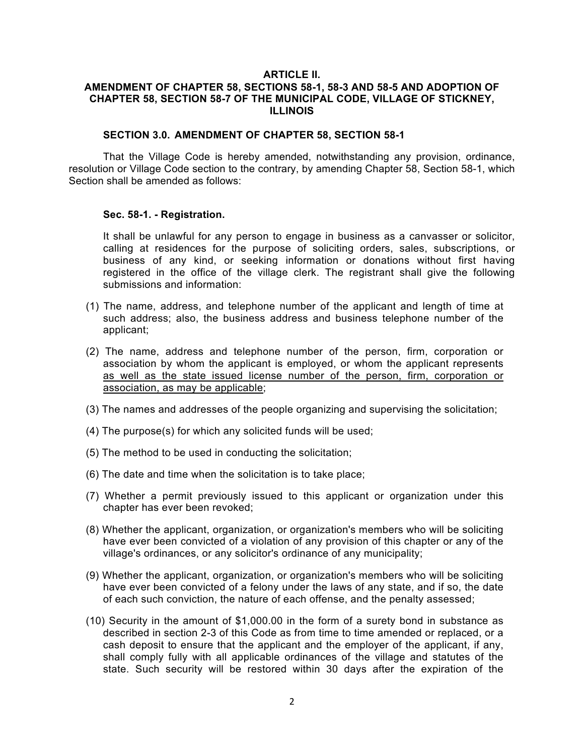### **ARTICLE II. AMENDMENT OF CHAPTER 58, SECTIONS 58-1, 58-3 AND 58-5 AND ADOPTION OF CHAPTER 58, SECTION 58-7 OF THE MUNICIPAL CODE, VILLAGE OF STICKNEY, ILLINOIS**

#### **SECTION 3.0. AMENDMENT OF CHAPTER 58, SECTION 58-1**

That the Village Code is hereby amended, notwithstanding any provision, ordinance, resolution or Village Code section to the contrary, by amending Chapter 58, Section 58-1, which Section shall be amended as follows:

#### **Sec. 58-1. - Registration.**

It shall be unlawful for any person to engage in business as a canvasser or solicitor, calling at residences for the purpose of soliciting orders, sales, subscriptions, or business of any kind, or seeking information or donations without first having registered in the office of the village clerk. The registrant shall give the following submissions and information:

- (1) The name, address, and telephone number of the applicant and length of time at such address; also, the business address and business telephone number of the applicant;
- (2) The name, address and telephone number of the person, firm, corporation or association by whom the applicant is employed, or whom the applicant represents as well as the state issued license number of the person, firm, corporation or association, as may be applicable;
- (3) The names and addresses of the people organizing and supervising the solicitation;
- (4) The purpose(s) for which any solicited funds will be used;
- (5) The method to be used in conducting the solicitation;
- (6) The date and time when the solicitation is to take place;
- (7) Whether a permit previously issued to this applicant or organization under this chapter has ever been revoked;
- (8) Whether the applicant, organization, or organization's members who will be soliciting have ever been convicted of a violation of any provision of this chapter or any of the village's ordinances, or any solicitor's ordinance of any municipality;
- (9) Whether the applicant, organization, or organization's members who will be soliciting have ever been convicted of a felony under the laws of any state, and if so, the date of each such conviction, the nature of each offense, and the penalty assessed;
- (10) Security in the amount of \$1,000.00 in the form of a surety bond in substance as described in section 2-3 of this Code as from time to time amended or replaced, or a cash deposit to ensure that the applicant and the employer of the applicant, if any, shall comply fully with all applicable ordinances of the village and statutes of the state. Such security will be restored within 30 days after the expiration of the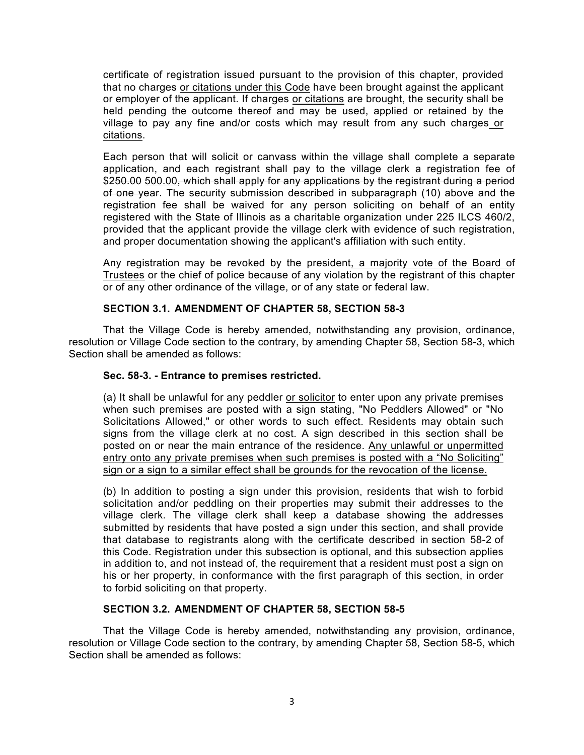certificate of registration issued pursuant to the provision of this chapter, provided that no charges or citations under this Code have been brought against the applicant or employer of the applicant. If charges or citations are brought, the security shall be held pending the outcome thereof and may be used, applied or retained by the village to pay any fine and/or costs which may result from any such charges or citations.

Each person that will solicit or canvass within the village shall complete a separate application, and each registrant shall pay to the village clerk a registration fee of \$250.00 500.00, which shall apply for any applications by the registrant during a period of one year. The security submission described in subparagraph (10) above and the registration fee shall be waived for any person soliciting on behalf of an entity registered with the State of Illinois as a charitable organization under 225 ILCS 460/2, provided that the applicant provide the village clerk with evidence of such registration, and proper documentation showing the applicant's affiliation with such entity.

Any registration may be revoked by the president, a majority vote of the Board of Trustees or the chief of police because of any violation by the registrant of this chapter or of any other ordinance of the village, or of any state or federal law.

# **SECTION 3.1. AMENDMENT OF CHAPTER 58, SECTION 58-3**

That the Village Code is hereby amended, notwithstanding any provision, ordinance, resolution or Village Code section to the contrary, by amending Chapter 58, Section 58-3, which Section shall be amended as follows:

### **Sec. 58-3. - Entrance to premises restricted.**

(a) It shall be unlawful for any peddler or solicitor to enter upon any private premises when such premises are posted with a sign stating, "No Peddlers Allowed" or "No Solicitations Allowed," or other words to such effect. Residents may obtain such signs from the village clerk at no cost. A sign described in this section shall be posted on or near the main entrance of the residence. Any unlawful or unpermitted entry onto any private premises when such premises is posted with a "No Soliciting" sign or a sign to a similar effect shall be grounds for the revocation of the license.

(b) In addition to posting a sign under this provision, residents that wish to forbid solicitation and/or peddling on their properties may submit their addresses to the village clerk. The village clerk shall keep a database showing the addresses submitted by residents that have posted a sign under this section, and shall provide that database to registrants along with the certificate described in section 58-2 of this Code. Registration under this subsection is optional, and this subsection applies in addition to, and not instead of, the requirement that a resident must post a sign on his or her property, in conformance with the first paragraph of this section, in order to forbid soliciting on that property.

## **SECTION 3.2. AMENDMENT OF CHAPTER 58, SECTION 58-5**

That the Village Code is hereby amended, notwithstanding any provision, ordinance, resolution or Village Code section to the contrary, by amending Chapter 58, Section 58-5, which Section shall be amended as follows: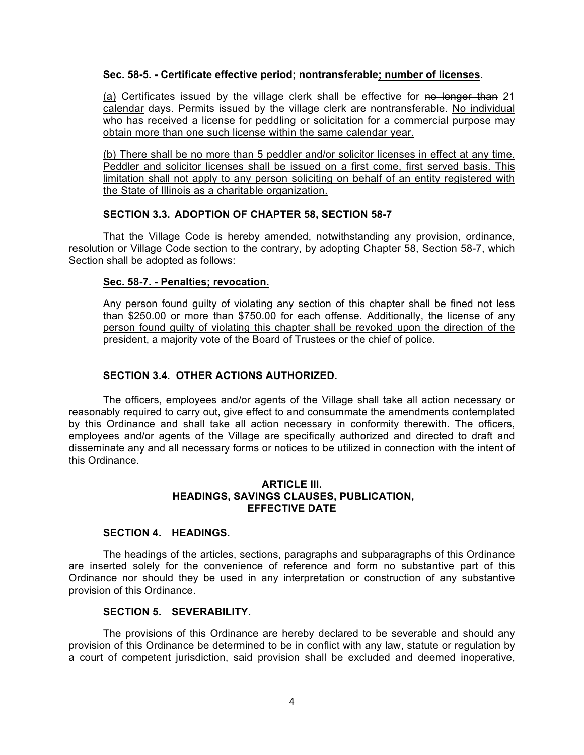#### **Sec. 58-5. - Certificate effective period; nontransferable; number of licenses.**

(a) Certificates issued by the village clerk shall be effective for no longer than 21 calendar days. Permits issued by the village clerk are nontransferable. No individual who has received a license for peddling or solicitation for a commercial purpose may obtain more than one such license within the same calendar year.

(b) There shall be no more than 5 peddler and/or solicitor licenses in effect at any time. Peddler and solicitor licenses shall be issued on a first come, first served basis. This limitation shall not apply to any person soliciting on behalf of an entity registered with the State of Illinois as a charitable organization.

## **SECTION 3.3. ADOPTION OF CHAPTER 58, SECTION 58-7**

That the Village Code is hereby amended, notwithstanding any provision, ordinance, resolution or Village Code section to the contrary, by adopting Chapter 58, Section 58-7, which Section shall be adopted as follows:

## **Sec. 58-7. - Penalties; revocation.**

Any person found guilty of violating any section of this chapter shall be fined not less than \$250.00 or more than \$750.00 for each offense. Additionally, the license of any person found guilty of violating this chapter shall be revoked upon the direction of the president, a majority vote of the Board of Trustees or the chief of police.

## **SECTION 3.4. OTHER ACTIONS AUTHORIZED.**

The officers, employees and/or agents of the Village shall take all action necessary or reasonably required to carry out, give effect to and consummate the amendments contemplated by this Ordinance and shall take all action necessary in conformity therewith. The officers, employees and/or agents of the Village are specifically authorized and directed to draft and disseminate any and all necessary forms or notices to be utilized in connection with the intent of this Ordinance.

## **ARTICLE III. HEADINGS, SAVINGS CLAUSES, PUBLICATION, EFFECTIVE DATE**

# **SECTION 4. HEADINGS.**

The headings of the articles, sections, paragraphs and subparagraphs of this Ordinance are inserted solely for the convenience of reference and form no substantive part of this Ordinance nor should they be used in any interpretation or construction of any substantive provision of this Ordinance.

## **SECTION 5. SEVERABILITY.**

The provisions of this Ordinance are hereby declared to be severable and should any provision of this Ordinance be determined to be in conflict with any law, statute or regulation by a court of competent jurisdiction, said provision shall be excluded and deemed inoperative,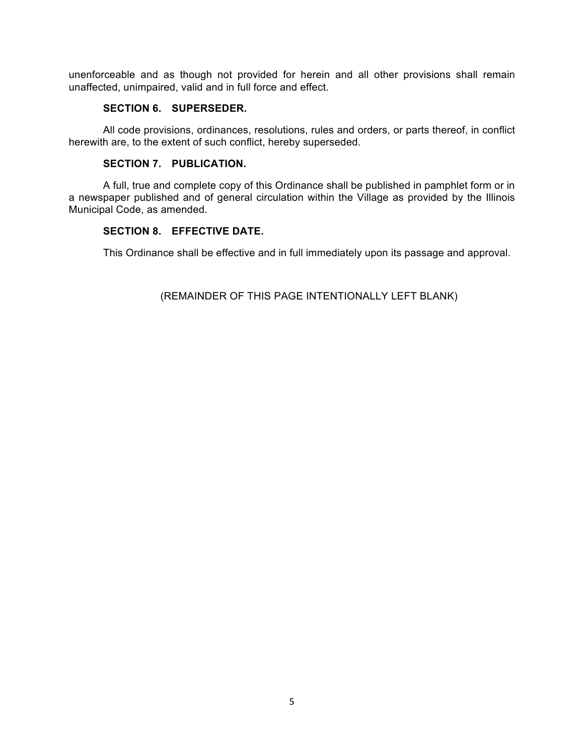unenforceable and as though not provided for herein and all other provisions shall remain unaffected, unimpaired, valid and in full force and effect.

### **SECTION 6. SUPERSEDER.**

All code provisions, ordinances, resolutions, rules and orders, or parts thereof, in conflict herewith are, to the extent of such conflict, hereby superseded.

## **SECTION 7. PUBLICATION.**

A full, true and complete copy of this Ordinance shall be published in pamphlet form or in a newspaper published and of general circulation within the Village as provided by the Illinois Municipal Code, as amended.

## **SECTION 8. EFFECTIVE DATE.**

This Ordinance shall be effective and in full immediately upon its passage and approval.

(REMAINDER OF THIS PAGE INTENTIONALLY LEFT BLANK)